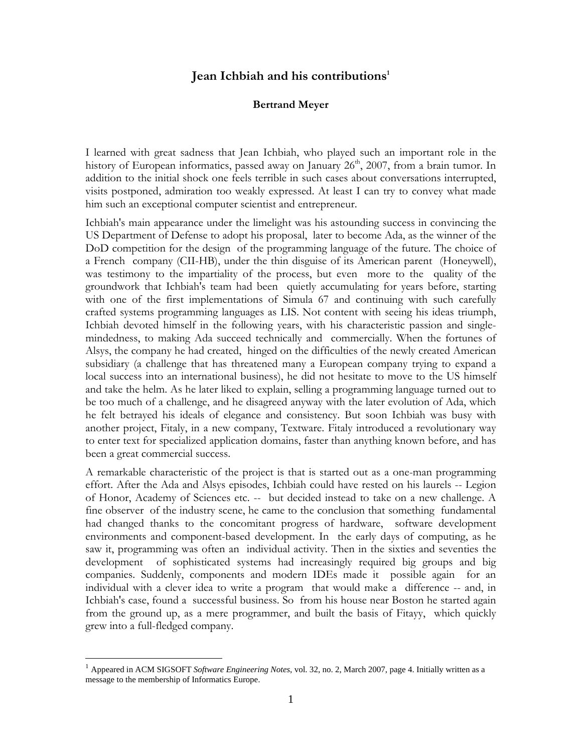## **Jean Ichbiah and his contributions<sup>1</sup>**

## **Bertrand Meyer**

I learned with great sadness that Jean Ichbiah, who played such an important role in the history of European informatics, passed away on January 26<sup>th</sup>, 2007, from a brain tumor. In addition to the initial shock one feels terrible in such cases about conversations interrupted, visits postponed, admiration too weakly expressed. At least I can try to convey what made him such an exceptional computer scientist and entrepreneur.

Ichbiah's main appearance under the limelight was his astounding success in convincing the US Department of Defense to adopt his proposal, later to become Ada, as the winner of the DoD competition for the design of the programming language of the future. The choice of a French company (CII-HB), under the thin disguise of its American parent (Honeywell), was testimony to the impartiality of the process, but even more to the quality of the groundwork that Ichbiah's team had been quietly accumulating for years before, starting with one of the first implementations of Simula 67 and continuing with such carefully crafted systems programming languages as LIS. Not content with seeing his ideas triumph, Ichbiah devoted himself in the following years, with his characteristic passion and singlemindedness, to making Ada succeed technically and commercially. When the fortunes of Alsys, the company he had created, hinged on the difficulties of the newly created American subsidiary (a challenge that has threatened many a European company trying to expand a local success into an international business), he did not hesitate to move to the US himself and take the helm. As he later liked to explain, selling a programming language turned out to be too much of a challenge, and he disagreed anyway with the later evolution of Ada, which he felt betrayed his ideals of elegance and consistency. But soon Ichbiah was busy with another project, Fitaly, in a new company, Textware. Fitaly introduced a revolutionary way to enter text for specialized application domains, faster than anything known before, and has been a great commercial success.

A remarkable characteristic of the project is that is started out as a one-man programming effort. After the Ada and Alsys episodes, Ichbiah could have rested on his laurels -- Legion of Honor, Academy of Sciences etc. -- but decided instead to take on a new challenge. A fine observer of the industry scene, he came to the conclusion that something fundamental had changed thanks to the concomitant progress of hardware, software development environments and component-based development. In the early days of computing, as he saw it, programming was often an individual activity. Then in the sixties and seventies the development of sophisticated systems had increasingly required big groups and big companies. Suddenly, components and modern IDEs made it possible again for an individual with a clever idea to write a program that would make a difference -- and, in Ichbiah's case, found a successful business. So from his house near Boston he started again from the ground up, as a mere programmer, and built the basis of Fitayy, which quickly grew into a full-fledged company.

1

<sup>1</sup> Appeared in ACM SIGSOFT *Software Engineering Notes*, vol. 32, no. 2, March 2007, page 4. Initially written as a message to the membership of Informatics Europe.